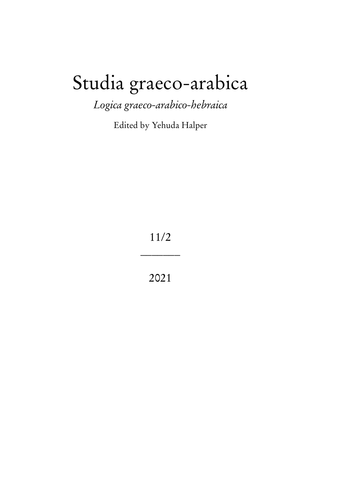# Studia graeco-arabica

*Logica graeco-arabico-hebraica*

Edited by Yehuda Halper

11/2

\_\_\_\_\_\_\_

2021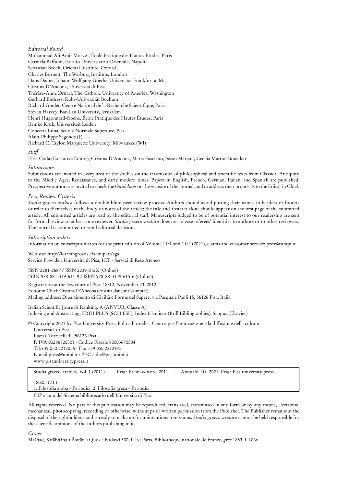#### *Editorial Board*

Mohammad Ali Amir Moezzi, École Pratique des Hautes Études, Paris Carmela Baffioni, Istituto Universitario Orientale, Napoli Sebastian Brock, Oriental Institute, Oxford Charles Burnett, The Warburg Institute, London Hans Daiber, Johann Wolfgang Goethe-Universität Frankfurt a. M. Cristina D'Ancona, Università di Pisa Thérèse-Anne Druart, The Catholic University of America, Washington Gerhard Endress, Ruhr-Universität Bochum Richard Goulet, Centre National de la Recherche Scientifique, Paris Steven Harvey, Bar-Ilan University, Jerusalem Henri Hugonnard-Roche, École Pratique des Hautes Études, Paris Remke Kruk, Universiteit Leiden Concetta Luna, Scuola Normale Superiore, Pisa Alain-Philippe Segonds (†) Richard C. Taylor, Marquette University, Milwaukee (WI) *Staff*

Elisa Coda (Executive Editor), Cristina D'Ancona, Maria Fasciano, Issam Marjani, Cecilia Martini Bonadeo

#### *Submissions*

Submissions are invited in every area of the studies on the trasmission of philosophical and scientific texts from Classical Antiquity to the Middle Ages, Renaissance, and early modern times. Papers in English, French, German, Italian, and Spanish are published. Prospective authors are invited to check the *Guidelines* on the website of the journal, and to address their proposals to the Editor in Chief.

#### *Peer Review Criteria*

*Studia graeco-arabica* follows a double-blind peer review process. Authors should avoid putting their names in headers or footers or refer to themselves in the body or notes of the article; the title and abstract alone should appear on the first page of the submitted article. All submitted articles are read by the editorial staff. Manuscripts judged to be of potential interest to our readership are sent for formal review to at least one reviewer. *Studia graeco-arabica* does not release referees' identities to authors or to other reviewers. The journal is committed to rapid editorial decisions.

#### *Subscription orders*

Information on subscription rates for the print edition of Volume 11/1 and 11/2 (2021), claims and customer service: press@unipi.it.

Web site: http://learningroads.cfs.unipi.it/sga Service Provider: Università di Pisa, ICT - Servizi di Rete Ateneo

ISSN 2281-2687 / ISSN 2239-012X (Online) ISBN 978-88-3339-614-9 / ISBN 978-88-3339-615-6 (Online)

Registration at the law court of Pisa, 18/12, November 23, 2012. Editor in Chief: Cristina D'Ancona (cristina.dancona@unipi.it) Mailing address: Dipartimento di Civiltà e Forme del Sapere, via Pasquale Paoli 15, 56126 Pisa, Italia.

Italian Scientific Journals Ranking: A (ANVUR, Classe A) Indexing and Abstracting; ERIH PLUS (SCH ESF); Index Islamicus (Brill Bibliographies); Scopus (Elsevier)

© Copyright 2021 by Pisa University Press Polo editoriale - Centro per l'innovazione e la diffusione della cultura

Università di Pisa Piazza Torricelli 4 - 56126 Pisa P. IVA 00286820501 · Codice Fiscale 80003670504 Tel.+39 050 2212056 · Fax +39 050 2212945 E-mail press@unipi.it · PEC cidic@pec.unipi.it www.pisauniversitypress.it

Studia graeco-arabica. Vol. 1 (2011)- . - Pisa : Pacini editore, 2011- . – Annuale. Dal 2021: Pisa : Pisa university press.

180.05 (23.)

1. Filosofia araba - Periodici 2. Filosofia greca - Periodici

CIP a cura del Sistema bibliotecario dell'Università di Pisa

All rights reserved. No part of this publication may be reproduced, translated, transmitted in any form or by any means, electronic, mechanical, photocopying, recording or otherwise, without prior written permission from the Publisher. The Publisher remains at the disposal of the rightholders, and is ready to make up for unintentional omissions. *Studia graeco-arabica* cannot be held responsible for the scientific opinions of the authors publishing in it.

*Cover*

Mašhad, Kitābḫāna-i Āsitān-i Quds-i Raḍawī 300, f. 1v; Paris, Bibliothèque nationale de France, *grec* 1853, f. 186v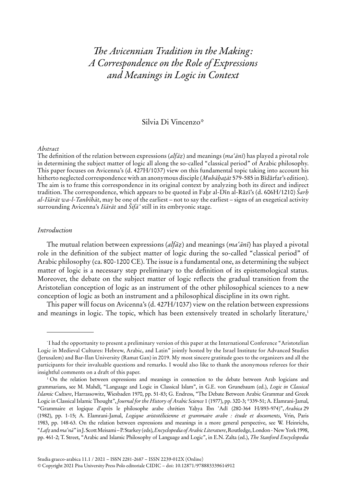# *The Avicennian Tradition in the Making: A Correspondence on the Role of Expressions and Meanings in Logic in Context*

# Silvia Di Vincenzo\*

#### *Abstract*

The definition of the relation between expressions (*alfāẓ*) and meanings (*maʿānī*) has played a pivotal role in determining the subject matter of logic all along the so-called "classical period" of Arabic philosophy. This paper focuses on Avicenna's (d. 427H/1037) view on this fundamental topic taking into account his hitherto neglected correspondence with an anonymous disciple (*Mubāḥaṯāt* 579-585 in Bīdārfar's edition). The aim is to frame this correspondence in its original context by analyzing both its direct and indirect tradition. The correspondence, which appears to be quoted in Faḫr al-Dīn al-Rāzī's (d. 606H/1210) *Šarḥ al-Išārāt wa-l-Tanbīhāt*, may be one of the earliest – not to say the earliest – signs of an exegetical activity surrounding Avicenna's *Išārāt* and *Šifāʾ* still in its embryonic stage.

# *Introduction*

The mutual relation between expressions (*alfāẓ*) and meanings (*maʿānī*) has played a pivotal role in the definition of the subject matter of logic during the so-called "classical period" of Arabic philosophy (ca. 800-1200 CE). The issue is a fundamental one, as determining the subject matter of logic is a necessary step preliminary to the definition of its epistemological status. Moreover, the debate on the subject matter of logic reflects the gradual transition from the Aristotelian conception of logic as an instrument of the other philosophical sciences to a new conception of logic as both an instrument and a philosophical discipline in its own right.

This paper will focus on Avicenna's (d. 427H/1037) view on the relation between expressions and meanings in logic. The topic, which has been extensively treated in scholarly literature,<sup>1</sup>

<sup>\*</sup> I had the opportunity to present a preliminary version of this paper at the International Conference "Aristotelian Logic in Medieval Cultures: Hebrew, Arabic, and Latin" jointly hosted by the Israel Institute for Advanced Studies (Jerusalem) and Bar-Ilan University (Ramat Gan) in 2019. My most sincere gratitude goes to the organizers and all the participants for their invaluable questions and remarks. I would also like to thank the anonymous referees for their insightful comments on a draft of this paper.

<sup>1</sup> On the relation between expressions and meanings in connection to the debate between Arab logicians and grammarians, see M. Mahdī, "Language and Logic in Classical Islam", in G.E. von Grunebaum (ed.), *Logic in Classical Islamic Culture*, Harrassowitz, Wiesbaden 1970, pp. 51-83; G. Endress, "The Debate Between Arabic Grammar and Greek Logic in Classical Islamic Thought", *Journal for the History of Arabic Science* 1 (1977), pp. 320-3; \*339-51; A. Elamrani-Jamal, "Grammaire et logique d'après le philosophe arabe chrétien Yaḥya Ibn ʿAdī (280-364 H/893-974)", *Arabica* 29 (1982), pp. 1-15; A. Elamrani-Jamal, *Logique aristotélicienne et grammaire arabe : étude et documents*, Vrin, Paris 1983, pp. 148-63. On the relation between expressions and meanings in a more general perspective, see W. Heinrichs, "*Lafẓ* and *maʿnā*" in J. Scott Meisami – P. Starkey (eds), *Encyclopedia of Arabic Literature*, Routledge, London - New York 1998, pp. 461-2; T. Street, "Arabic and Islamic Philosophy of Language and Logic", in E.N. Zalta (ed.), *The Stanford Encyclopedia*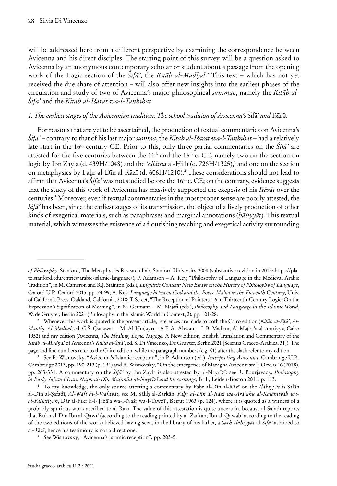will be addressed here from a different perspective by examining the correspondence between Avicenna and his direct disciples. The starting point of this survey will be a question asked to Avicenna by an anonymous contemporary scholar or student about a passage from the opening work of the Logic section of the *Šifāʾ*, the *Kitāb al-Madḫal*. 2 This text – which has not yet received the due share of attention – will also offer new insights into the earliest phases of the circulation and study of two of Avicenna's major philosophical *summae*, namely the *Kitāb al-Šifāʾ* and the *Kitāb al-Išārāt wa-l-Tanbīhāt*.

#### *1. The earliest stages of the Avicennian tradition: The school tradition of Avicenna's* Šifāʾ *and* Išārāt

For reasons that are yet to be ascertained, the production of textual commentaries on Avicenna's *Šifāʾ* – contrary to that of his last major *summa*, the *Kitāb al-Išārāt wa-l-Tanbīhāt* – had a relatively late start in the 16<sup>th</sup> century CE. Prior to this, only three partial commentaries on the  $\tilde{S}$ *ifa<sup>2</sup>* are attested for the five centuries between the 11<sup>th</sup> and the 16<sup>th</sup> c. CE, namely two on the section on logic by Ibn Zayla (d. 439H/1048) and the *ʻallāma* al-Ḥillī (d. 726H/1325),<sup>3</sup> and one on the section on metaphysics by Faḫr al-Dīn al-Rāzī (d. 606H/1210).<sup>4</sup> These considerations should not lead to affirm that Avicenna's  $\dot{S}i\bar{t}\bar{a}$ ' was not studied before the 16<sup>th</sup> c. CE; on the contrary, evidence suggests that the study of this work of Avicenna has massively supported the exegesis of his *Išārāt* over the centuries.<sup>5</sup> Moreover, even if textual commentaries in the most proper sense are poorly attested, the *Šifāʾ* has been, since the earliest stages of its transmission, the object of a lively production of other kinds of exegetical materials, such as paraphrases and marginal annotations (*ḥāšiyyāt*). This textual material, which witnesses the existence of a flourishing teaching and exegetical activity surrounding

<sup>3</sup> See R. Wisnovsky, "Avicenna's Islamic reception", in P. Adamson (ed.), *Interpreting Avicenna*, Cambridge U.P., Cambridge 2013, pp. 190-213 (p. 194) and R. Wisnovsky, "On the emergence of Maragha Avicennism", *Oriens* 46 (2018), pp. 263-331. A commentary on the *Šifāʾ* by Ibn Zayla is also attested by al-Nayrīzī: see R. Pourjavady, *Philosophy in Early Safavid Iran: Najm al-Dīn Maḥmūd al-Nayrīzī and his writings*, Brill, Leiden-Boston 2011, p. 113.

<sup>5</sup> See Wisnovsky, "Avicenna's Islamic reception", pp. 203-5.

*of Philosophy*, Stanford, The Metaphysics Research Lab, Stanford University 2008 (substantive revision in 2013: https://plato.stanford.edu/entries/arabic-islamic-language/); P. Adamson – A. Key, "Philosophy of Language in the Medieval Arabic Tradition", in M. Cameron and R.J. Stainton (eds.), *Linguistic Content: New Essays on the History of Philosophy of Language*, Oxford U.P., Oxford 2015, pp. 74-99; A. Key, *Language between God and the Poets*: *Maʿnā in the Eleventh Century*, Univ. of California Press, Oakland, California, 2018; T. Street, "The Reception of Pointers 1.6 in Thirteenth-Century Logic: On the Expression's Signification of Meaning", in N. Germann – M. Najafi (eds.), *Philosophy and Language in the Islamic World*, W. de Gruyter, Berlin 2021 (Philosophy in the Islamic World in Context, 2), pp. 101-28.

<sup>2</sup> Whenever this work is quoted in the present article, references are made to both the Cairo edition (*Kitāb al-Šifā'*, *Al-Manṭiq*, *Al-Madḫal*, ed. Ǧ.Š. Qanawatī – M. Al*-*Ḫuḍayrī – A.F. Al*-*Ahwānī – I. B. Madkūr, Al*-*Maṭbaʿa al-amīriyya, Cairo 1952) and my edition (Avicenna, *The Healing, Logic: Isagoge*. A New Edition, English Translation and Commentary of the *Kitāb al-Madḫal* of Avicenna's *Kitāb al-Šifāʾ*, ed. S. Di Vincenzo, De Gruyter, Berlin 2021 [Scientia Graeco-Arabica, 31]). The page and line numbers refer to the Cairo edition, while the paragraph numbers (e.g. §1) after the slash refer to my edition.

<sup>4</sup> To my knowledge, the only source attesting a commentary by Faḫr al-Dīn al-Rāzī on the *Ilāhiyyāt* is Ṣalāh al-Dīn al-Ṣafadī, *Al-Wāfī bi-l-Wafayāt*; see M. Ṣāliḥ al-Zarkān, *Faḫr al-Dīn al-Rāzī wa-Ārāʾuhu al-Kalāmīyah waal-Falsafīyah*, Dār al-Fikr li-l-Ṭibāʿa wa-l-Našr wa-l-Tawzīʿ, Beirut 1963 (p. 124), where it is quoted as a witness of a probably spurious work ascribed to al-Rāzī. The value of this attestation is quite uncertain, because al-Ṣafadī reports that Rukn al-Dīn Ibn al-Qawīʿ (according to the reading printed by al-Zarkān; Ibn al-Qawabʿ according to the reading of the two editions of the work) believed having seen, in the library of his father, a *Šarḥ Ilāhiyyāt* al-*Šifāʾ* ascribed to al-Rāzī, hence his testimony is not a direct one.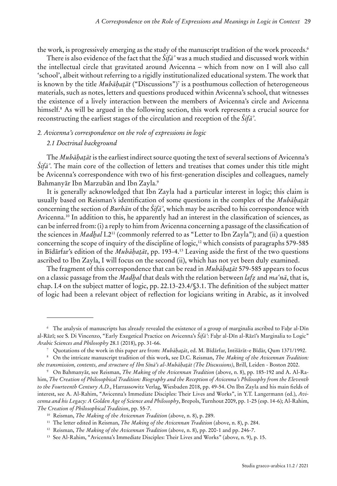the work, is progressively emerging as the study of the manuscript tradition of the work proceeds.<sup>6</sup>

There is also evidence of the fact that the *Šifāʾ* was a much studied and discussed work within the intellectual circle that gravitated around Avicenna – which from now on I will also call 'school', albeit without referring to a rigidly institutionalized educational system. The work that is known by the title *Mubāḥaṯāt* ("Discussions")<sup>7</sup> is a posthumous collection of heterogeneous materials, such as notes, letters and questions produced within Avicenna's school, that witnesses the existence of a lively interaction between the members of Avicenna's circle and Avicenna himself.<sup>8</sup> As will be argued in the following section, this work represents a crucial source for reconstructing the earliest stages of the circulation and reception of the *Šifāʾ*.

# *2. Avicenna's correspondence on the role of expressions in logic 2.1 Doctrinal background*

The *Mubāḥaṯāt* is the earliest indirect source quoting the text of several sections of Avicenna's *Šifāʾ*. The main core of the collection of letters and treatises that comes under this title might be Avicenna's correspondence with two of his first-generation disciples and colleagues, namely Bahmanyār Ibn Marzubān and Ibn Zayla.<sup>9</sup>

It is generally acknowledged that Ibn Zayla had a particular interest in logic; this claim is usually based on Reisman's identification of some questions in the complex of the *Mubāḥaṯāt* concerning the section of *Burhān* of the *Šifāʾ*, which may be ascribed to his correspondence with Avicenna.<sup>10</sup> In addition to this, he apparently had an interest in the classification of sciences, as can be inferred from: (i) a reply to him from Avicenna concerning a passage of the classification of the sciences in *Madḫal* I.2<sup>11</sup> (commonly referred to as "Letter to Ibn Zayla"); and (ii) a question concerning the scope of inquiry of the discipline of logic,<sup>12</sup> which consists of paragraphs 579-585 in Bīdārfar's edition of the *Mubāḥaṯāt*, pp. 193-4.<sup>13</sup> Leaving aside the first of the two questions ascribed to Ibn Zayla, I will focus on the second (ii), which has not yet been duly examined.

The fragment of this correspondence that can be read in *Mubāḥaṯāt* 579-585 appears to focus on a classic passage from the *Madḫal* that deals with the relation between *lafẓ* and *maʿnā*, that is, chap. I.4 on the subject matter of logic, pp. 22.13-23.4/§3.1. The definition of the subject matter of logic had been a relevant object of reflection for logicians writing in Arabic, as it involved

<sup>6</sup> The analysis of manuscripts has already revealed the existence of a group of marginalia ascribed to Faḫr al-Dīn al-Rāzī; see S. Di Vincenzo, "Early Exegetical Practice on Avicenna's *Šifāʾ*: Faḫr al-Dīn al-Rāzī's Marginalia to Logic" *Arabic Sciences and Philosophy* 28.1 (2018), pp. 31-66.

<sup>7</sup> Quotations of the work in this paper are from: *Mubāḥaṯāt*, ed. M. Bīdārfar, Intišārāt-e Bīdār, Qum 1371/1992.

<sup>8</sup> On the intricate manuscript tradition of this work, see D.C. Reisman, *The Making of the Avicennan Tradition: the transmission, contents, and structure of Ibn Sīnā's al-Mubāḥaṯāt (The Discussions)*, Brill, Leiden - Boston 2002.

<sup>9</sup> On Bahmanyār, see Reisman, *The Making of the Avicennan Tradition* (above, n. 8), pp. 185-192 and A. Al*-*Rahim, *The Creation of Philosophical Tradition: Biography and the Reception of Avicenna's Philosophy from the Eleventh to the Fourteenth Century A.D.*, Harrassowitz Verlag, Wiesbaden 2018, pp. 49-54. On Ibn Zayla and his main fields of interest, see A. Al*-*Rahim, "Avicenna's Immediate Disciples: Their Lives and Works", in Y.T. Langermann (ed.), *Avicenna and his Legacy: A Golden Age of Science and Philosophy*, Brepols, Turnhout 2009, pp. 1-25 (esp. 14-6); Al*-*Rahim, *The Creation of Philosophical Tradition*, pp. 55-7.

<sup>10</sup> Reisman, *The Making of the Avicennan Tradition* (above, n. 8), p. 289.

<sup>11</sup> The letter edited in Reisman, *The Making of the Avicennan Tradition* (above, n. 8), p. 284.

<sup>12</sup> Reisman, *The Making of the Avicennan Tradition* (above, n. 8), pp. 200-1 and pp. 246-7.

<sup>&</sup>lt;sup>13</sup> See Al-Rahim, "Avicenna's Immediate Disciples: Their Lives and Works" (above, n. 9), p. 15.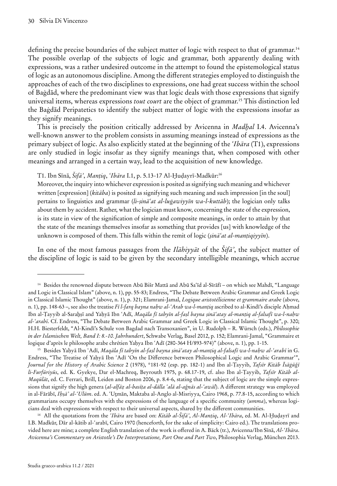defining the precise boundaries of the subject matter of logic with respect to that of grammar.<sup>14</sup> The possible overlap of the subjects of logic and grammar, both apparently dealing with expressions, was a rather undesired outcome in the attempt to found the epistemological status of logic as an autonomous discipline. Among the different strategies employed to distinguish the approaches of each of the two disciplines to expressions, one had great success within the school of Baġdād, where the predominant view was that logic deals with those expressions that signify universal items, whereas expressions *tout court* are the object of grammar.<sup>15</sup> This distinction led the Baġdād Peripatetics to identify the subject matter of logic with the expressions insofar as they signify meanings.

This is precisely the position critically addressed by Avicenna in *Madḫal* I.4. Avicenna's well-known answer to the problem consists in assuming meanings instead of expressions as the primary subject of logic. As also explicitly stated at the beginning of the *ʿIbāra* (T1), expressions are only studied in logic insofar as they signify meanings that, when composed with other meanings and arranged in a certain way, lead to the acquisition of new knowledge.

T1. Ibn Sīnā, *Šifāʾ*, *Manṭiq*, *ʿIbāra* I.1, p. 5.13-17 Al-Ḫuḍayrī-Madkūr: 16

Moreover, the inquiry into whichever expression is posited as signifying such meaning and whichever written [expression] (*kitāba*) is posited as signifying such meaning and such impression [in the soul] pertains to linguistics and grammar (*li-ṣināʿat al-luġawiyyīn wa-l-kuttāb*); the logician only talks about them by accident. Rather, what the logician must know, concerning the state of the expression, is its state in view of the signification of simple and composite meanings, in order to attain by that the state of the meanings themselves insofar as something that provides [us] with knowledge of the unknown is composed of them. This falls within the remit of logic (*ṣināʿat al-manṭiqiyyīn*).

In one of the most famous passages from the *Ilāhiyyāt* of the *Šifāʾ*, the subject matter of the discipline of logic is said to be given by the secondary intelligible meanings, which accrue

<sup>16</sup> All the quotations from the *ʿIbāra* are based on: *Kitāb al-Šifāʾ*, *Al-Manṭiq*, *Al-ʿIbāra*, ed. M. Al*-*Ḫuḍayrī and I.B. Madkūr, Dār al-kātib al-ʿarabī, Cairo 1970 (henceforth, for the sake of simplicity: Cairo ed.). The translations provided here are mine; a complete English translation of the work is offered in A. Bäck (tr.), Avicenna/Ibn Sīnā, *Al-ʿIbāra*. *Avicenna's Commentary on Aristotle's De Interpretatione, Part One and Part Two*, Philosophia Verlag, München 2013.

<sup>14</sup> Besides the renowned dispute between Abū Bišr Mattā and Abū Saʿīd al-Sīrāfī – on which see Mahdī, "Language and Logic in Classical Islam" (above, n. 1), pp. 55-83; Endress, "The Debate Between Arabic Grammar and Greek Logic in Classical Islamic Thought" (above, n. 1), p. 321; Elamrani-Jamal, *Logique aristotélicienne et grammaire arabe* (above, n. 1), pp. 148-63 –, see also the treatise *Fī l-farq bayna naḥw al-ʿArab wa-l-manṭiq* ascribed to al-Kindī's disciple Aḥmad Ibn al-Ṭayyib al-Saraḫṣī and Yaḥyā Ibn ʿAdī, *Maqāla fī tabyīn al-faṣl bayna ṣināʿatay al-manṭiq al-falsafī wa-l-naḥw al-ʿarabī*. Cf. Endress, "The Debate Between Arabic Grammar and Greek Logic in Classical Islamic Thought", p. 320; H.H. Biesterfeldt, "Al*-*Kindī's Schule von Bagdad nach Transoxanien", in U. Rudolph – R. Würsch (eds.), *Philosophie in der Islamischen Welt, Band I: 8.-10. Jahrhundert*, Schwabe Verlag, Basel 2012, p. 152; Elamrani-Jamal, "Grammaire et logique d'après le philosophe arabe chrétien Yaḥya Ibn ʿAdī (280-364 H/893-974)" (above, n. 1), pp. 1-15.

<sup>15</sup> Besides Yaḥyā Ibn ʿAdī, *Maqāla fī tabyīn al-faṣl bayna ṣināʿatay al-manṭiq al-falsafī wa-l-naḥw al-ʿarabī* in G. Endress, "The Treatise of Yaḥyā Ibn ʿAdī 'On the Difference between Philosophical Logic and Arabic Grammar'", *Journal for the History of Arabic Science* 2 (1978), \*181-92 (esp. pp. 182-1) and Ibn al-Ṭayyib, *Tafsīr Kitāb Īsāġūǧī li-Furfūriyūs*, ed. K. Gyekye, Dar el-Machreq, Beyrouth 1975, p. 68.17-19, cf. also Ibn al-Ṭayyib, *Tafsīr Kitāb al-Maqūlāt*, ed. C. Ferrari, Brill, Leiden and Boston 2006, p. 8.4-6, stating that the subject of logic are the simple expressions that signify the high genera (*al-alfāẓ al-basīṭa al-dālla ʿalā al-aǧnās al-ʿawāl*). A different strategy was employed in al-Fārābī, *Iḥṣāʾ al-ʿUlūm*. ed. A. ʿUṯmān, Maktaba al-Anglo al-Misriyya, Cairo 1968, p. 77.8-15, according to which grammarians occupy themselves with the expressions of the language of a specific community (*umma*), whereas logicians deal with expressions with respect to their universal aspects, shared by the different communities.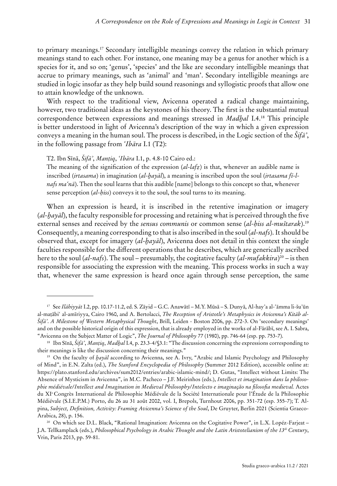to primary meanings.<sup>17</sup> Secondary intelligible meanings convey the relation in which primary meanings stand to each other. For instance, one meaning may be a genus for another which is a species for it, and so on; 'genus', 'species' and the like are secondary intelligible meanings that accrue to primary meanings, such as 'animal' and 'man'. Secondary intelligible meanings are studied in logic insofar as they help build sound reasonings and syllogistic proofs that allow one to attain knowledge of the unknown.

With respect to the traditional view, Avicenna operated a radical change maintaining, however, two traditional ideas as the keystones of his theory. The first is the substantial mutual correspondence between expressions and meanings stressed in *Madḫal* I.4.<sup>18</sup> This principle is better understood in light of Avicenna's description of the way in which a given expression conveys a meaning in the human soul. The process is described, in the Logic section of the *Šifāʾ*, in the following passage from *ʿIbāra* I.1 (T2):

T2. Ibn Sīnā, *Šifāʾ*, *Manṭiq*, *ʿIbāra* I.1, p. 4.8-10 Cairo ed.:

The meaning of the signification of the expression (*al-lafẓ*) is that, whenever an audible name is inscribed (*irtasama*) in imagination (*al-ḫayāl*), a meaning is inscribed upon the soul (*irtasama fī-lnafs maʿnā*). Then the soul learns that this audible [name] belongs to this concept so that, whenever sense perception (*al-ḥiss*) conveys it to the soul, the soul turns to its meaning.

When an expression is heard, it is inscribed in the retentive imagination or imagery (*al-ḫayāl*), the faculty responsible for processing and retaining what is perceived through the five external senses and received by the *sensus communis* or common sense (*al-ḥiss al-muštarak*).<sup>19</sup> Consequently, a meaning corresponding to that is also inscribed in the soul (*al-nafs*). It should be observed that, except for imagery (*al-ḫayāl*), Avicenna does not detail in this context the single faculties responsible for the different operations that he describes, which are generically ascribed here to the soul (*al-nafs*). The soul – presumably, the cogitative faculty (*al-mufakkira*)<sup>20</sup> – is then responsible for associating the expression with the meaning. This process works in such a way that, whenever the same expression is heard once again through sense perception, the same

<sup>17</sup> See *Ilāhiyyāt* I.2, pp. 10.17-11.2, ed. S. Zāyid – G.C. Anawātī – M.Y. Mūsā – S. Dunyā, Al-hayʾa al-ʿāmma li-šuʾūn al-maṭābiʿ al-amīriyya, Cairo 1960, and A. Bertolacci, *The Reception of Aristotle's Metaphysics in Avicenna's Kitāb al-Šifāʾ*. *A Milestone of Western Metaphysical Thought*, Brill, Leiden - Boston 2006, pp. 272-3. On 'secondary meanings' and on the possible historical origin of this expression, that is already employed in the works of al-Fārābī, see A. I. Sabra, "Avicenna on the Subject Matter of Logic", *The Journal of Philosophy* 77 (1980), pp. 746-64 (esp. pp. 753-7).

<sup>18</sup> Ibn Sīnā, *Šifāʾ*, *Manṭiq*, *Madḫal* I.4, p. 23.3-4/§3.1: "The discussion concerning the expressions corresponding to their meanings is like the discussion concerning their meanings."

<sup>19</sup> On the faculty of *ḫayāl* according to Avicenna, see A. Ivry, "Arabic and Islamic Psychology and Philosophy of Mind", in E.N. Zalta (ed.), *The Stanford Encyclopedia of Philosophy* (Summer 2012 Edition), accessible online at: https://plato.stanford.edu/archives/sum2012/entries/arabic-islamic-mind/; D. Gutas, "Intellect without Limits: The Absence of Mysticism in Avicenna", in M.C. Pacheco – J.F. Meirinhos (eds.), *Intellect et imagination dans la philosophie médiévale/Intellect and Imagination in Medieval Philosophy/Intelecto e imaginação na filosofia medieval.* Actes du XI<sup>e</sup>Congrès International de Philosophie Médiévale de la Société Internationale pour l'Étude de la Philosophie Médiévale (S.I.E.P.M.) Porto, du 26 au 31 août 2002, vol. I, Brepols, Turnhout 2006, pp. 351-72 (esp. 355-7); T. Alpina, *Subject, Definition, Activity: Framing Avicenna's Science of the Soul*, De Gruyter, Berlin 2021 (Scientia Graeco-Arabica, 28), p. 156.

<sup>20</sup> On which see D.L. Black, "Rational Imagination: Avicenna on the Cogitative Power", in L.X. Lopéz-Farjeat – J.A. Tellkamplack (eds.), *Philosophical Psychology in Arabic Thought and the Latin Aristotelianism of the 13th Century*, Vrin, Paris 2013, pp. 59-81.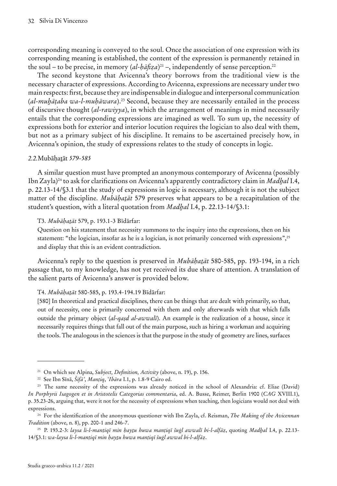corresponding meaning is conveyed to the soul. Once the association of one expression with its corresponding meaning is established, the content of the expression is permanently retained in the soul – to be precise, in memory  $(al-b\bar{a}f\bar{z}a)^{21}$  –, independently of sense perception.<sup>22</sup>

The second keystone that Avicenna's theory borrows from the traditional view is the necessary character of expressions. According to Avicenna, expressions are necessary under two main respects: first, because they are indispensable in dialogue and interpersonal communication (*al-muḫāṭaba wa-l-muḥāwara*).<sup>23</sup> Second, because they are necessarily entailed in the process of discursive thought (*al-rawiyya*), in which the arrangement of meanings in mind necessarily entails that the corresponding expressions are imagined as well. To sum up, the necessity of expressions both for exterior and interior locution requires the logician to also deal with them, but not as a primary subject of his discipline. It remains to be ascertained precisely how, in Avicenna's opinion, the study of expressions relates to the study of concepts in logic.

#### *2.2.*Mubāḥaṯāt *579-585*

A similar question must have prompted an anonymous contemporary of Avicenna (possibly Ibn Zayla)<sup>24</sup> to ask for clarifications on Avicenna's apparently contradictory claim in *Madḫal* I.4, p. 22.13-14/§3.1 that the study of expressions in logic is necessary, although it is not the subject matter of the discipline. *Mubāḥaṯāt* 579 preserves what appears to be a recapitulation of the student's question, with a literal quotation from *Madḫal* I.4, p. 22.13-14/§3.1:

#### T3. *Mubāḥaṯāt* 579, p. 193.1-3 Bīdārfar:

Question on his statement that necessity summons to the inquiry into the expressions, then on his statement: "the logician, insofar as he is a logician, is not primarily concerned with expressions",<sup>25</sup> and display that this is an evident contradiction.

Avicenna's reply to the question is preserved in *Mubāḥaṯāt* 580-585, pp. 193-194, in a rich passage that, to my knowledge, has not yet received its due share of attention. A translation of the salient parts of Avicenna's answer is provided below.

T4. *Mubāḥaṯāt* 580-585, p. 193.4-194.19 Bīdārfar:

[580] In theoretical and practical disciplines, there can be things that are dealt with primarily, so that, out of necessity, one is primarily concerned with them and only afterwards with that which falls outside the primary object (*al-qaṣd al-awwalī*). An example is the realization of a house, since it necessarily requires things that fall out of the main purpose, such as hiring a workman and acquiring the tools. The analogous in the sciences is that the purpose in the study of geometry are lines, surfaces

<sup>21</sup> On which see Alpina, *Subject, Definition, Activity* (above, n. 19), p. 156.

<sup>22</sup> See Ibn Sīnā, *Šifāʾ*, *Manṭiq*, *ʿIbāra* I.1, p. 1.8-9 Cairo ed.

<sup>&</sup>lt;sup>23</sup> The same necessity of the expressions was already noticed in the school of Alexandria: cf. Eliae (David) *In Porphyrii Isagogen et in Aristotelis Categorias commentaria*, ed. A. Busse, Reimer, Berlin 1900 (*CAG* XVIII.1), p. 35.23-26, arguing that, were it not for the necessity of expressions when teaching, then logicians would not deal with expressions.

<sup>24</sup> For the identification of the anonymous questioner with Ibn Zayla, cf. Reisman, *The Making of the Avicennan Tradition* (above, n. 8), pp. 200-1 and 246-7.

<sup>25</sup> P. 193.2-3: *laysa li-l-manṭiqī min ḥayṯu huwa manṭiqī šuġl awwalī bi-l-alfāẓ*, quoting *Madḫal* I.4, p. 22.13- 14/§3.1: *wa-laysa li-l-manṭiqī min ḥayṯu huwa manṭiqī šuġl awwal bi-l-alfāẓ*.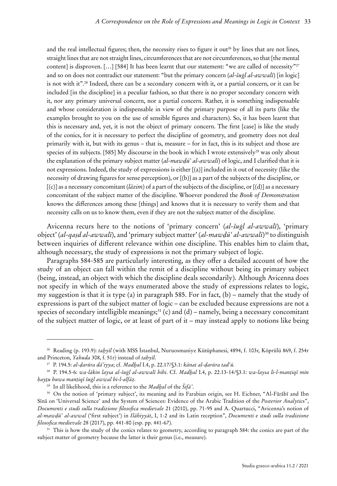and the real intellectual figures; then, the necessity rises to figure it out<sup>26</sup> by lines that are not lines, straight lines that are not straight lines, circumferences that are not circumferences, so that [the mental content] is disproven. [...] [584] It has been learnt that our statement: "we are called of necessity"<sup>27</sup> and so on does not contradict our statement: "but the primary concern (*al-šuġl al-awwalī*) [in logic] is not with it".<sup>28</sup> Indeed, there can be a secondary concern with it, or a partial concern, or it can be included [in the discipline] in a peculiar fashion, so that there is no proper secondary concern with it, nor any primary universal concern, nor a partial concern. Rather, it is something indispensable and whose consideration is indispensable in view of the primary purpose of all its parts (like the examples brought to you on the use of sensible figures and characters). So, it has been learnt that this is necessary and, yet, it is not the object of primary concern. The first [case] is like the study of the conics, for it is necessary to perfect the discipline of geometry, and geometry does not deal primarily with it, but with its genus – that is, measure – for in fact, this is its subject and those are species of its subjects. [585] My discourse in the book in which I wrote extensively<sup>29</sup> was only about the explanation of the primary subject matter (*al-mawḍūʿ al-awwalī*) of logic, and I clarified that it is not expressions. Indeed, the study of expressions is either [(a)] included in it out of necessity (like the necessity of drawing figures for sense perception), or [(b)] as a part of the subjects of the discipline, or [(c)] as a necessary concomitant (*lāzim*) of a part of the subjects of the discipline, or [(d)] as a necessary concomitant of the subject matter of the discipline. Whoever pondered the *Book of Demonstration*  knows the differences among these [things] and knows that it is necessary to verify them and that necessity calls on us to know them, even if they are not the subject matter of the discipline.

Avicenna recurs here to the notions of 'primary concern' (*al-šuġl al-awwalī*), 'primary object' (*al-qaṣd al-awwalī*), and 'primary subject matter' (*al-mawḍūʿ al-awwalī*)<sup>30</sup> to distinguish between inquiries of different relevance within one discipline. This enables him to claim that, although necessary, the study of expressions is not the primary subject of logic.

Paragraphs 584-585 are particularly interesting, as they offer a detailed account of how the study of an object can fall within the remit of a discipline without being its primary subject (being, instead, an object with which the discipline deals secondarily). Although Avicenna does not specify in which of the ways enumerated above the study of expressions relates to logic, my suggestion is that it is type (a) in paragraph 585. For in fact, (b) – namely that the study of expressions is part of the subject matter of logic – can be excluded because expressions are not a species of secondary intelligible meanings;<sup>31</sup> (c) and (d) – namely, being a necessary concomitant of the subject matter of logic, or at least of part of it – may instead apply to notions like being

<sup>26</sup> Reading (p. 193.9): *taḫyīl* (with MSS İstanbul, Nuruosmaniye Kütüphanesi, 4894, f. 103r, Köprülü 869, f. 254r and Princeton, *Yahuda* 308, f. 51r) instead of *taḥyīl*.

<sup>27</sup> P. 194.5: *al-ḍarūra dāʿiyya*; cf. *Madḫal* I.4, p. 22.17/§3.1: *kānat al-ḍarūra tadʿū.*

<sup>28</sup> P. 194.5-6: *wa-lākin laysa al-šuġl al-awwalī bihi*. Cf. *Madḫal* I.4, p. 22.13-14/§3.1: *wa-laysa li-l-manṭiqī min ḥayṯu huwa manṭiqī šuġl awwal bi-l-alfāẓ.*

<sup>29</sup> In all likelihood, this is a reference to the *Madḫal* of the *Šifāʾ*.

<sup>30</sup> On the notion of 'primary subject', its meaning and its Farabian origin, see H. Eichner, "Al-Fārābī and Ibn Sīnā on 'Universal Science' and the System of Sciences: Evidence of the Arabic Tradition of the *Posterior Analytic*s", *Documenti e studi sulla tradizione filosofica medievale* 21 (2010), pp. 71-95 and A. Quartucci, "Avicenna's notion of *al-mawḍūʿ al-awwal* ('first subject') in *Ilāhiyyāt*, I, 1-2 and its Latin reception", *Documenti e studi sulla tradizione filosofica medievale* 28 (2017), pp. 441-80 (esp. pp. 441-67).

<sup>&</sup>lt;sup>31</sup> This is how the study of the conics relates to geometry, according to paragraph 584: the conics are part of the subject matter of geometry because the latter is their genus (i.e., measure).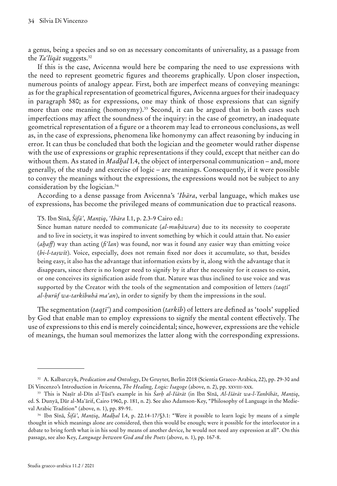a genus, being a species and so on as necessary concomitants of universality, as a passage from the *Taʿlīqāt* suggests.<sup>32</sup>

If this is the case, Avicenna would here be comparing the need to use expressions with the need to represent geometric figures and theorems graphically. Upon closer inspection, numerous points of analogy appear. First, both are imperfect means of conveying meanings: as for the graphical representation of geometrical figures, Avicenna argues for their inadequacy in paragraph 580; as for expressions, one may think of those expressions that can signify more than one meaning (homonymy).<sup>33</sup> Second, it can be argued that in both cases such imperfections may affect the soundness of the inquiry: in the case of geometry, an inadequate geometrical representation of a figure or a theorem may lead to erroneous conclusions, as well as, in the case of expressions, phenomena like homonymy can affect reasoning by inducing in error. It can thus be concluded that both the logician and the geometer would rather dispense with the use of expressions or graphic representations if they could, except that neither can do without them. As stated in *Madḫal* I.4, the object of interpersonal communication – and, more generally, of the study and exercise of logic – are meanings. Consequently, if it were possible to convey the meanings without the expressions, the expressions would not be subject to any consideration by the logician.<sup>34</sup>

According to a dense passage from Avicenna's *ʿIbāra*, verbal language, which makes use of expressions, has become the privileged means of communication due to practical reasons.

T5. Ibn Sīnā, *Šifāʾ*, *Manṭiq*, *ʿIbāra* I.1, p. 2.3-9 Cairo ed.:

Since human nature needed to communicate (*al-muḥāwara*) due to its necessity to cooperate and to live in society, it was inspired to invent something by which it could attain that. No easier (*aḫaff*) way than acting (*fiʿlan*) was found, nor was it found any easier way than emitting voice (*bi-l-taṣwīt*). Voice, especially, does not remain fixed nor does it accumulate, so that, besides being easy, it also has the advantage that information exists by it, along with the advantage that it disappears, since there is no longer need to signify by it after the necessity for it ceases to exist, or one conceives its signification aside from that. Nature was thus inclined to use voice and was supported by the Creator with the tools of the segmentation and composition of letters *(taqṭīʿ al-ḥurūf wa-tarkībuhā maʿan*), in order to signify by them the impressions in the soul.

The segmentation (*taqṭīʿ*) and composition (*tarkīb*) of letters are defined as 'tools' supplied by God that enable man to employ expressions to signify the mental content effectively. The use of expressions to this end is merely coincidental; since, however, expressions are the vehicle of meanings, the human soul memorizes the latter along with the corresponding expressions.

<sup>32</sup> A. Kalbarczyk, *Predication and Ontology*, De Gruyter, Berlin 2018 (Scientia Graeco-Arabica, 22), pp. 29-30 and Di Vincenzo's Introduction in Avicenna, *The Healing, Logic: Isagoge* (above, n. 2), pp. xxviii-xxx.

<sup>33</sup> This is Naṣīr al-Dīn al-Ṭūsī's example in his *Šarḥ al-Išārāt* (in Ibn Sīnā, *Al-Išārāt wa-l-Tanbīhāt*, *Manṭiq*, ed. S. Dunyā, Dār al-Maʿārif, Cairo 1960, p. 181, n. 2). See also Adamson-Key, "Philosophy of Language in the Medieval Arabic Tradition" (above, n. 1), pp. 89-91.

<sup>34</sup> Ibn Sīnā, *Šifāʾ*, *Manṭiq*, *Madḫal* I.4, p. 22.14-17/§3.1: "Were it possible to learn logic by means of a simple thought in which meanings alone are considered, then this would be enough; were it possible for the interlocutor in a debate to bring forth what is in his soul by means of another device, he would not need any expression at all". On this passage, see also Key, *Language between God and the Poets* (above, n. 1), pp. 167-8.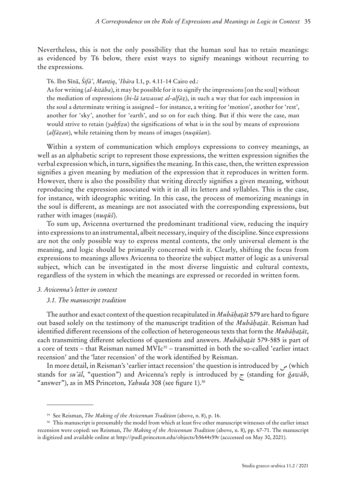Nevertheless, this is not the only possibility that the human soul has to retain meanings: as evidenced by T6 below, there exist ways to signify meanings without recurring to the expressions.

T6. Ibn Sīnā, *Šifāʾ*, *Manṭiq*, *ʿIbāra* I.1, p. 4.11-14 Cairo ed.:

As for writing (*al-kitāba*), it may be possible for it to signify the impressions [on the soul] without the mediation of expressions (*bi-lā tawassuṭ al-alfā*ẓ), in such a way that for each impression in the soul a determinate writing is assigned – for instance, a writing for 'motion', another for 'rest', another for 'sky', another for 'earth', and so on for each thing. But if this were the case, man would strive to retain (*yaḥfiẓu*) the significations of what is in the soul by means of expressions (*alfāẓan*), while retaining them by means of images (*nuqūšan*).

Within a system of communication which employs expressions to convey meanings, as well as an alphabetic script to represent those expressions, the written expression signifies the verbal expression which, in turn, signifies the meaning. In this case, then, the written expression signifies a given meaning by mediation of the expression that it reproduces in written form. However, there is also the possibility that writing directly signifies a given meaning, without reproducing the expression associated with it in all its letters and syllables. This is the case, for instance, with ideographic writing. In this case, the process of memorizing meanings in the soul is different, as meanings are not associated with the corresponding expressions, but rather with images (*nuqūš*).

To sum up, Avicenna overturned the predominant traditional view, reducing the inquiry into expressions to an instrumental, albeit necessary, inquiry of the discipline. Since expressions are not the only possible way to express mental contents, the only universal element is the meaning, and logic should be primarily concerned with it. Clearly, shifting the focus from expressions to meanings allows Avicenna to theorize the subject matter of logic as a universal subject, which can be investigated in the most diverse linguistic and cultural contexts, regardless of the system in which the meanings are expressed or recorded in written form.

#### *3. Avicenna's letter in context*

#### *3.1. The manuscript tradition*

The author and exact context of the question recapitulated in *Mubāḥaṯāt* 579 are hard to figure out based solely on the testimony of the manuscript tradition of the *Mubāḥaṯāt*. Reisman had identified different recensions of the collection of heterogeneous texts that form the *Mubāḥaṯāt*, each transmitting different selections of questions and answers. *Mubāḥaṯāt* 579-585 is part of a core of texts – that Reisman named  $MVIc<sup>35</sup>$  – transmitted in both the so-called 'earlier intact recension' and the 'later recension' of the work identified by Reisman.

In more detail, in Reisman's 'earlier intact recension' the question is introduced by  $\sim$  (which stands for *suʾāl*, "question") and Avicenna's reply is introduced by ج) standing for *ǧawāb*, "answer"), as in MS Princeton, *Yahuda* 308 (see figure 1).<sup>36</sup>

<sup>35</sup> See Reisman, *The Making of the Avicennan Tradition* (above, n. 8), p. 16.

<sup>36</sup> This manuscript is presumably the model from which at least five other manuscript witnesses of the earlier intact recension were copied: see Reisman, *The Making of the Avicennan Tradition* (above, n. 8), pp. 67-71. The manuscript is digitized and available online at http://pudl.princeton.edu/objects/b5644r59r (acccessed on May 30, 2021).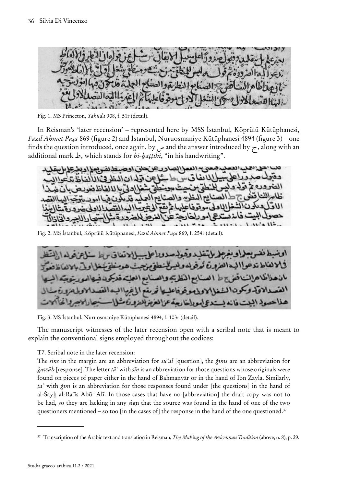Fig. 1. MS Princeton, *Yahuda* 308, f. 51r (detail).

In Reisman's 'later recension' – represented here by MSS İstanbul, Köprülü Kütüphanesi, *Fazıl Ahmet Paşa* 869 (figure 2) and İstanbul, Nuruosmaniye Kütüphanesi 4894 (figure 3) – one finds the question introduced, once again, by  $\omega$  and the answer introduced by  $\tau$ , along with an additional mark ط, which stands for *bi-ḫaṭṭihi*, "in his handwriting".

ي 14 العم الصادر عن حلي اوجه لانفاق وطائعا عندة يع المظهر والعد عج امورا  $513$ 

Fig. 2. MS İstanbul, Köprülü Kütüphanesi, *Fazıl Ahmet Paşa* 869, f. 254r (detail).



Fig. 3. MS İstanbul, Nuruosmaniye Kütüphanesi 4894, f. 103r (detail).

The manuscript witnesses of the later recension open with a scribal note that is meant to explain the conventional signs employed throughout the codices:

T7. Scribal note in the later recension:

The *sīns* in the margin are an abbreviation for *suʾāl* [question], the *ǧīms* are an abbreviation for *ǧawāb* [response]. The letter *ṭāʾ* with *sīn* is an abbreviation for those questions whose originals were found on pieces of paper either in the hand of Bahmanyār or in the hand of Ibn Zayla. Similarly, *ṭāʾ* with *ǧīm* is an abbreviation for those responses found under [the questions] in the hand of al-Šayḫ al-Raʾīs Abū ʿAlī. In those cases that have no [abbreviation] the draft copy was not to be had, so they are lacking in any sign that the source was found in the hand of one of the two questioners mentioned – so too [in the cases of] the response in the hand of the one questioned.<sup>37</sup>

<sup>37</sup> Transcription of the Arabic text and translation in Reisman, *The Making of the Avicennan Tradition* (above, n. 8), p. 29.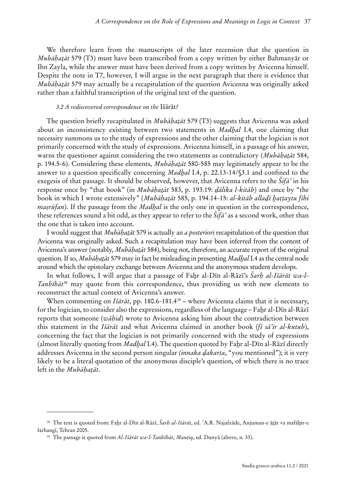We therefore learn from the manuscripts of the later recension that the question in *Mubāḥaṯāt* 579 (T3) must have been transcribed from a copy written by either Bahmanyār or Ibn Zayla, while the answer must have been derived from a copy written by Avicenna himself. Despite the note in T7, however, I will argue in the next paragraph that there is evidence that *Mubāḥaṯāt* 579 may actually be a recapitulation of the question Avicenna was originally asked rather than a faithful transcription of the original text of the question.

#### *3.2 A rediscovered correspondence on the* Išārāt*?*

The question briefly recapitulated in *Mubāḥaṯāt* 579 (T3) suggests that Avicenna was asked about an inconsistency existing between two statements in *Madḫal* I.4, one claiming that necessity summons us to the study of expressions and the other claiming that the logician is not primarily concerned with the study of expressions. Avicenna himself, in a passage of his answer, warns the questioner against considering the two statements as contradictory (*Mubāḥaṯāt* 584, p. 194.5-6). Considering these elements, *Mubāḥaṯāt* 580-585 may legitimately appear to be the answer to a question specifically concerning *Madḫal* I.4, p. 22.13-14/§3.1 and confined to the exegesis of that passage. It should be observed, however, that Avicenna refers to the *Šifāʾ* in his response once by "that book" (in *Mubāḥaṯāt* 583, p. 193.19: *ḏālika l-kitāb*) and once by "the book in which I wrote extensively" (*Mubāḥaṯāt* 585, p. 194.14-15: *al-kitāb allaḏī ḫaṭṭaytu fīhi maṣrūfan*). If the passage from the *Madḫal* is the only one in question in the correspondence, these references sound a bit odd, as they appear to refer to the *Šifāʾ* as a second work, other than the one that is taken into account.

I would suggest that *Mubāḥaṯāt* 579 is actually an *a posteriori* recapitulation of the question that Avicenna was originally asked. Such a recapitulation may have been inferred from the content of Avicenna's answer (notably, *Mubāḥaṯāt* 584), being not, therefore, an accurate report of the original question. If so, *Mubāḥaṯāt* 579 may in fact be misleading in presenting *Madḫal* I.4 as the central node around which the epistolary exchange between Avicenna and the anonymous student develops.

In what follows, I will argue that a passage of Faḫr al-Dīn al-Rāzī's *Šarḥ al-Išārāt wa-l-Tanbīhāt*<sup>38</sup> may quote from this correspondence, thus providing us with new elements to reconstruct the actual context of Avicenna's answer.

When commenting on *Išārāt*, pp. 180.6-181.4<sup>39</sup> – where Avicenna claims that it is necessary, for the logician, to consider also the expressions, regardless of the language – Faḫr al-Dīn al-Rāzī reports that someone (*wāḥid*) wrote to Avicenna asking him about the contradiction between this statement in the *Išārāt* and what Avicenna claimed in another book (*fī sāʾir al-kutub*), concerning the fact that the logician is not primarily concerned with the study of expressions (almost literally quoting from *Madḫal* I.4). The question quoted by Faḫr al-Dīn al-Rāzī directly addresses Avicenna in the second person singular *(innaka ḏakarta*, "you mentioned"); it is very likely to be a literal quotation of the anonymous disciple's question, of which there is no trace left in the *Mubāḥaṯāt*.

<sup>38</sup> The text is quoted from: Faḫr al-Dīn al-Rāzī, *Šarḥ al-Išārāt*, ed. ʿA.R. Najafzāde, Anjuman-e āṯār va mafāḫir-e farhangī, Tehran 2005.

<sup>39</sup> The passage is quoted from *Al-Išārāt wa-l-Tanbīhāt*, *Manṭiq*, ed. Dunyā (above, n. 33).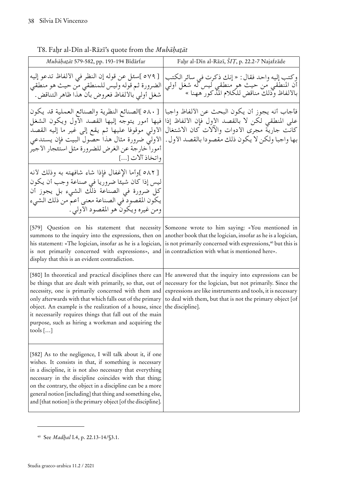| Mubāhatāt 579-582, pp. 193-194 Bīdārfar                                                                                                                                                                                                                                                                                                                                                                                             | Fahr al-Dīn al-Rāzī, ŠIȚ, p. 22.2-7 Najafzāde                                                                                                                                                                                                                    |  |
|-------------------------------------------------------------------------------------------------------------------------------------------------------------------------------------------------------------------------------------------------------------------------------------------------------------------------------------------------------------------------------------------------------------------------------------|------------------------------------------------------------------------------------------------------------------------------------------------------------------------------------------------------------------------------------------------------------------|--|
| [٥٧٩ ]سئل عن قوله إن النظر في الألفاظ تدعو إليه<br>الضرورة ثم قوله وليس للمنطقي من حيث هو منطقي<br>شغل أولىي بالألفاظ فعروض بأن هذا ظاهر التناقض.                                                                                                                                                                                                                                                                                   | وكتب إليه واحد فقال : « إنك ذكرت في سائر الكتب<br>أن المنطقي من حيث هو منطقي ليس له شغل أولي<br>بالألفاظ وذلك مناقض للكلام المدكور ههنا »                                                                                                                        |  |
| [ ٥٨٠ ]الصنائع النظرية والصنائع العملية قد يكون<br>فيها أمور يتوجَّه إليها القصد الأول ويكون الشغل<br>الأولى موقوفا عليها ثم يقع إلى غير ما إليه القصد<br>الأولى ضرورة مثال هذا حصول البيت فإن يستدعي<br>أمورا خارجة عن الغرض للضرورة مثل استئجار الأجير<br>واتخاذ آلات []                                                                                                                                                          | فأجاب أنه يجوز أن يكون البحث عن الألفاظ واجبا<br>على المنطقي لكن لا بالقصد الأول فإن الألفاظ إذا<br>كانت جارية مجرى الأدوات والآلات كان الاشتغال<br>بها واجبا ولكن لا يكون ذلك مقصودا بالقصد الأول .                                                             |  |
| [0٨٢ ]وأما الإغفال فإذا شاء شافهته به وذلك لأنه<br>ليس إذا كان شيئا ضروريا في صناعة وجب أن يكون<br>كل ضرورة في الصناعة ذلك الشيء بل يجوز أن<br>يكون المقصود في الصناعة معنى أعم من ذلك الشيء<br>ومن غيره ويكونَّ هو المقصود الأولى .                                                                                                                                                                                                |                                                                                                                                                                                                                                                                  |  |
| [579] Question on his statement that necessity<br>summons to the inquiry into the expressions, then on<br>his statement: «The logician, insofar as he is a logician,<br>is not primarily concerned with expressions», and in contradiction with what is mentioned here».<br>display that this is an evident contradiction.                                                                                                          | Someone wrote to him saying: «You mentioned in<br>another book that the logician, insofar as he is a logician,<br>is not primarily concerned with expressions, <sup>40</sup> but this is                                                                         |  |
| [580] In theoretical and practical disciplines there can<br>be things that are dealt with primarily, so that, out of<br>necessity, one is primarily concerned with them and<br>only afterwards with that which falls out of the primary<br>object. An example is the realization of a house, since<br>it necessarily requires things that fall out of the main<br>purpose, such as hiring a workman and acquiring the<br>tools $[]$ | He answered that the inquiry into expressions can be<br>necessary for the logician, but not primarily. Since the<br>expressions are like instruments and tools, it is necessary<br>to deal with them, but that is not the primary object [of<br>the discipline]. |  |
| [582] As to the negligence, I will talk about it, if one<br>wishes. It consists in that, if something is necessary<br>in a discipline, it is not also necessary that everything<br>necessary in the discipline coincides with that thing;<br>on the contrary, the object in a discipline can be a more<br>general notion [including] that thing and something else,<br>and [that notion] is the primary object [of the discipline]. |                                                                                                                                                                                                                                                                  |  |

| T8. Fahr al-Dīn al-Rāzī's quote from the Mubāhatāt |  |  |
|----------------------------------------------------|--|--|
|----------------------------------------------------|--|--|

<sup>40</sup> See *Madḫal* I.4, p. 22.13-14/§3.1.